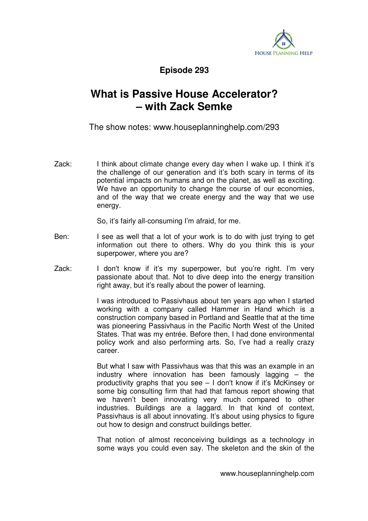

**Episode 293** 

## **What is Passive House Accelerator? – with Zack Semke**

The show notes: www.houseplanninghelp.com/293

Zack: I think about climate change every day when I wake up. I think it's the challenge of our generation and it's both scary in terms of its potential impacts on humans and on the planet, as well as exciting. We have an opportunity to change the course of our economies, and of the way that we create energy and the way that we use energy.

So, it's fairly all-consuming I'm afraid, for me.

- Ben: I see as well that a lot of your work is to do with just trying to get information out there to others. Why do you think this is your superpower, where you are?
- Zack: I don't know if it's my superpower, but you're right. I'm very passionate about that. Not to dive deep into the energy transition right away, but it's really about the power of learning.

 I was introduced to Passivhaus about ten years ago when I started working with a company called Hammer in Hand which is a construction company based in Portland and Seattle that at the time was pioneering Passivhaus in the Pacific North West of the United States. That was my entrée. Before then, I had done environmental policy work and also performing arts. So, I've had a really crazy career.

 But what I saw with Passivhaus was that this was an example in an industry where innovation has been famously lagging – the productivity graphs that you see – I don't know if it's McKinsey or some big consulting firm that had that famous report showing that we haven't been innovating very much compared to other industries. Buildings are a laggard. In that kind of context, Passivhaus is all about innovating. It's about using physics to figure out how to design and construct buildings better.

 That notion of almost reconceiving buildings as a technology in some ways you could even say. The skeleton and the skin of the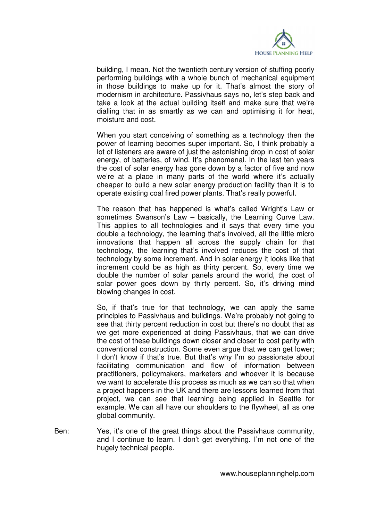

building, I mean. Not the twentieth century version of stuffing poorly performing buildings with a whole bunch of mechanical equipment in those buildings to make up for it. That's almost the story of modernism in architecture. Passivhaus says no, let's step back and take a look at the actual building itself and make sure that we're dialling that in as smartly as we can and optimising it for heat, moisture and cost.

 When you start conceiving of something as a technology then the power of learning becomes super important. So, I think probably a lot of listeners are aware of just the astonishing drop in cost of solar energy, of batteries, of wind. It's phenomenal. In the last ten years the cost of solar energy has gone down by a factor of five and now we're at a place in many parts of the world where it's actually cheaper to build a new solar energy production facility than it is to operate existing coal fired power plants. That's really powerful.

 The reason that has happened is what's called Wright's Law or sometimes Swanson's Law – basically, the Learning Curve Law. This applies to all technologies and it says that every time you double a technology, the learning that's involved, all the little micro innovations that happen all across the supply chain for that technology, the learning that's involved reduces the cost of that technology by some increment. And in solar energy it looks like that increment could be as high as thirty percent. So, every time we double the number of solar panels around the world, the cost of solar power goes down by thirty percent. So, it's driving mind blowing changes in cost.

 So, if that's true for that technology, we can apply the same principles to Passivhaus and buildings. We're probably not going to see that thirty percent reduction in cost but there's no doubt that as we get more experienced at doing Passivhaus, that we can drive the cost of these buildings down closer and closer to cost parity with conventional construction. Some even argue that we can get lower; I don't know if that's true. But that's why I'm so passionate about facilitating communication and flow of information between practitioners, policymakers, marketers and whoever it is because we want to accelerate this process as much as we can so that when a project happens in the UK and there are lessons learned from that project, we can see that learning being applied in Seattle for example. We can all have our shoulders to the flywheel, all as one global community.

Ben: Yes, it's one of the great things about the Passivhaus community, and I continue to learn. I don't get everything. I'm not one of the hugely technical people.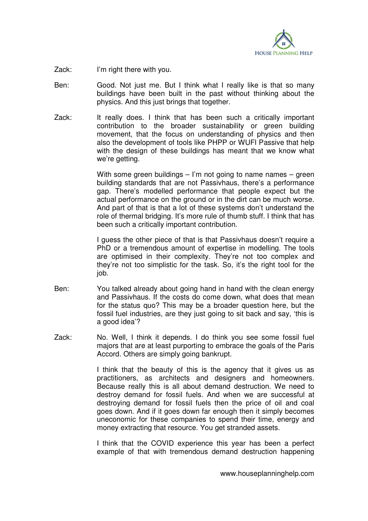

Zack: I'm right there with you.

- Ben: Good. Not just me. But I think what I really like is that so many buildings have been built in the past without thinking about the physics. And this just brings that together.
- Zack: It really does. I think that has been such a critically important contribution to the broader sustainability or green building movement, that the focus on understanding of physics and then also the development of tools like PHPP or WUFI Passive that help with the design of these buildings has meant that we know what we're getting.

 With some green buildings – I'm not going to name names – green building standards that are not Passivhaus, there's a performance gap. There's modelled performance that people expect but the actual performance on the ground or in the dirt can be much worse. And part of that is that a lot of these systems don't understand the role of thermal bridging. It's more rule of thumb stuff. I think that has been such a critically important contribution.

 I guess the other piece of that is that Passivhaus doesn't require a PhD or a tremendous amount of expertise in modelling. The tools are optimised in their complexity. They're not too complex and they're not too simplistic for the task. So, it's the right tool for the job.

- Ben: You talked already about going hand in hand with the clean energy and Passivhaus. If the costs do come down, what does that mean for the status quo? This may be a broader question here, but the fossil fuel industries, are they just going to sit back and say, 'this is a good idea'?
- Zack: No. Well, I think it depends. I do think you see some fossil fuel majors that are at least purporting to embrace the goals of the Paris Accord. Others are simply going bankrupt.

 I think that the beauty of this is the agency that it gives us as practitioners, as architects and designers and homeowners. Because really this is all about demand destruction. We need to destroy demand for fossil fuels. And when we are successful at destroying demand for fossil fuels then the price of oil and coal goes down. And if it goes down far enough then it simply becomes uneconomic for these companies to spend their time, energy and money extracting that resource. You get stranded assets.

 I think that the COVID experience this year has been a perfect example of that with tremendous demand destruction happening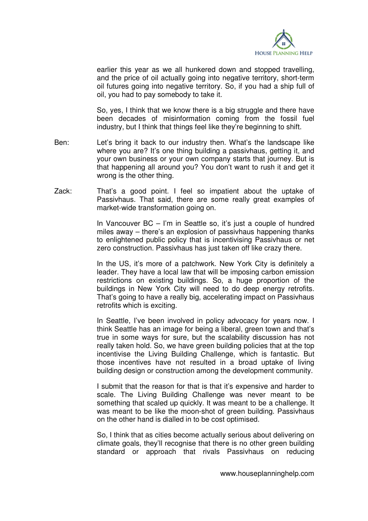

earlier this year as we all hunkered down and stopped travelling, and the price of oil actually going into negative territory, short-term oil futures going into negative territory. So, if you had a ship full of oil, you had to pay somebody to take it.

 So, yes, I think that we know there is a big struggle and there have been decades of misinformation coming from the fossil fuel industry, but I think that things feel like they're beginning to shift.

- Ben: Let's bring it back to our industry then. What's the landscape like where you are? It's one thing building a passivhaus, getting it, and your own business or your own company starts that journey. But is that happening all around you? You don't want to rush it and get it wrong is the other thing.
- Zack: That's a good point. I feel so impatient about the uptake of Passivhaus. That said, there are some really great examples of market-wide transformation going on.

 In Vancouver BC – I'm in Seattle so, it's just a couple of hundred miles away – there's an explosion of passivhaus happening thanks to enlightened public policy that is incentivising Passivhaus or net zero construction. Passivhaus has just taken off like crazy there.

 In the US, it's more of a patchwork. New York City is definitely a leader. They have a local law that will be imposing carbon emission restrictions on existing buildings. So, a huge proportion of the buildings in New York City will need to do deep energy retrofits. That's going to have a really big, accelerating impact on Passivhaus retrofits which is exciting.

 In Seattle, I've been involved in policy advocacy for years now. I think Seattle has an image for being a liberal, green town and that's true in some ways for sure, but the scalability discussion has not really taken hold. So, we have green building policies that at the top incentivise the Living Building Challenge, which is fantastic. But those incentives have not resulted in a broad uptake of living building design or construction among the development community.

 I submit that the reason for that is that it's expensive and harder to scale. The Living Building Challenge was never meant to be something that scaled up quickly. It was meant to be a challenge. It was meant to be like the moon-shot of green building. Passivhaus on the other hand is dialled in to be cost optimised.

 So, I think that as cities become actually serious about delivering on climate goals, they'll recognise that there is no other green building standard or approach that rivals Passivhaus on reducing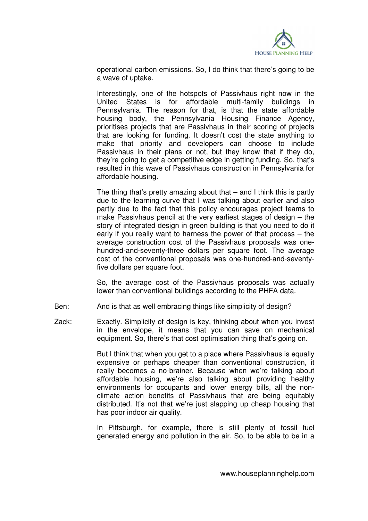

operational carbon emissions. So, I do think that there's going to be a wave of uptake.

 Interestingly, one of the hotspots of Passivhaus right now in the United States is for affordable multi-family buildings in Pennsylvania. The reason for that, is that the state affordable housing body, the Pennsylvania Housing Finance Agency, prioritises projects that are Passivhaus in their scoring of projects that are looking for funding. It doesn't cost the state anything to make that priority and developers can choose to include Passivhaus in their plans or not, but they know that if they do, they're going to get a competitive edge in getting funding. So, that's resulted in this wave of Passivhaus construction in Pennsylvania for affordable housing.

The thing that's pretty amazing about that  $-$  and I think this is partly due to the learning curve that I was talking about earlier and also partly due to the fact that this policy encourages project teams to make Passivhaus pencil at the very earliest stages of design – the story of integrated design in green building is that you need to do it early if you really want to harness the power of that process – the average construction cost of the Passivhaus proposals was onehundred-and-seventy-three dollars per square foot. The average cost of the conventional proposals was one-hundred-and-seventyfive dollars per square foot.

 So, the average cost of the Passivhaus proposals was actually lower than conventional buildings according to the PHFA data.

- Ben: And is that as well embracing things like simplicity of design?
- Zack: Exactly. Simplicity of design is key, thinking about when you invest in the envelope, it means that you can save on mechanical equipment. So, there's that cost optimisation thing that's going on.

 But I think that when you get to a place where Passivhaus is equally expensive or perhaps cheaper than conventional construction, it really becomes a no-brainer. Because when we're talking about affordable housing, we're also talking about providing healthy environments for occupants and lower energy bills, all the nonclimate action benefits of Passivhaus that are being equitably distributed. It's not that we're just slapping up cheap housing that has poor indoor air quality.

 In Pittsburgh, for example, there is still plenty of fossil fuel generated energy and pollution in the air. So, to be able to be in a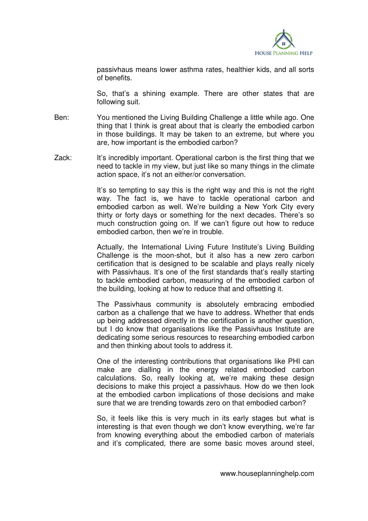

passivhaus means lower asthma rates, healthier kids, and all sorts of benefits.

 So, that's a shining example. There are other states that are following suit.

- Ben: You mentioned the Living Building Challenge a little while ago. One thing that I think is great about that is clearly the embodied carbon in those buildings. It may be taken to an extreme, but where you are, how important is the embodied carbon?
- Zack: It's incredibly important. Operational carbon is the first thing that we need to tackle in my view, but just like so many things in the climate action space, it's not an either/or conversation.

 It's so tempting to say this is the right way and this is not the right way. The fact is, we have to tackle operational carbon and embodied carbon as well. We're building a New York City every thirty or forty days or something for the next decades. There's so much construction going on. If we can't figure out how to reduce embodied carbon, then we're in trouble.

 Actually, the International Living Future Institute's Living Building Challenge is the moon-shot, but it also has a new zero carbon certification that is designed to be scalable and plays really nicely with Passivhaus. It's one of the first standards that's really starting to tackle embodied carbon, measuring of the embodied carbon of the building, looking at how to reduce that and offsetting it.

 The Passivhaus community is absolutely embracing embodied carbon as a challenge that we have to address. Whether that ends up being addressed directly in the certification is another question, but I do know that organisations like the Passivhaus Institute are dedicating some serious resources to researching embodied carbon and then thinking about tools to address it.

 One of the interesting contributions that organisations like PHI can make are dialling in the energy related embodied carbon calculations. So, really looking at, we're making these design decisions to make this project a passivhaus. How do we then look at the embodied carbon implications of those decisions and make sure that we are trending towards zero on that embodied carbon?

 So, it feels like this is very much in its early stages but what is interesting is that even though we don't know everything, we're far from knowing everything about the embodied carbon of materials and it's complicated, there are some basic moves around steel,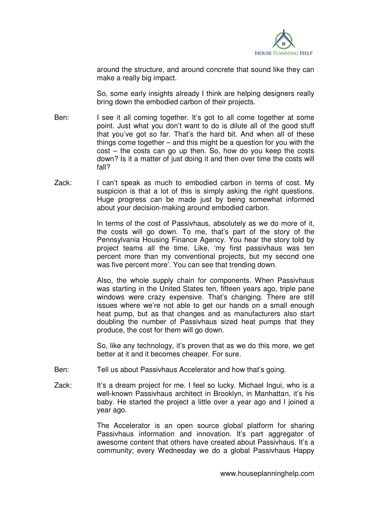

around the structure, and around concrete that sound like they can make a really big impact.

 So, some early insights already I think are helping designers really bring down the embodied carbon of their projects.

- Ben: I see it all coming together. It's got to all come together at some point. Just what you don't want to do is dilute all of the good stuff that you've got so far. That's the hard bit. And when all of these things come together – and this might be a question for you with the cost – the costs can go up then. So, how do you keep the costs down? Is it a matter of just doing it and then over time the costs will fall?
- Zack: I can't speak as much to embodied carbon in terms of cost. My suspicion is that a lot of this is simply asking the right questions. Huge progress can be made just by being somewhat informed about your decision-making around embodied carbon.

 In terms of the cost of Passivhaus, absolutely as we do more of it, the costs will go down. To me, that's part of the story of the Pennsylvania Housing Finance Agency. You hear the story told by project teams all the time. Like, 'my first passivhaus was ten percent more than my conventional projects, but my second one was five percent more'. You can see that trending down.

 Also, the whole supply chain for components. When Passivhaus was starting in the United States ten, fifteen years ago, triple pane windows were crazy expensive. That's changing. There are still issues where we're not able to get our hands on a small enough heat pump, but as that changes and as manufacturers also start doubling the number of Passivhaus sized heat pumps that they produce, the cost for them will go down.

 So, like any technology, it's proven that as we do this more, we get better at it and it becomes cheaper. For sure.

- Ben: Tell us about Passivhaus Accelerator and how that's going.
- Zack: It's a dream project for me. I feel so lucky. Michael Ingui, who is a well-known Passivhaus architect in Brooklyn, in Manhattan, it's his baby. He started the project a little over a year ago and I joined a year ago.

 The Accelerator is an open source global platform for sharing Passivhaus information and innovation. It's part aggregator of awesome content that others have created about Passivhaus. It's a community; every Wednesday we do a global Passivhaus Happy